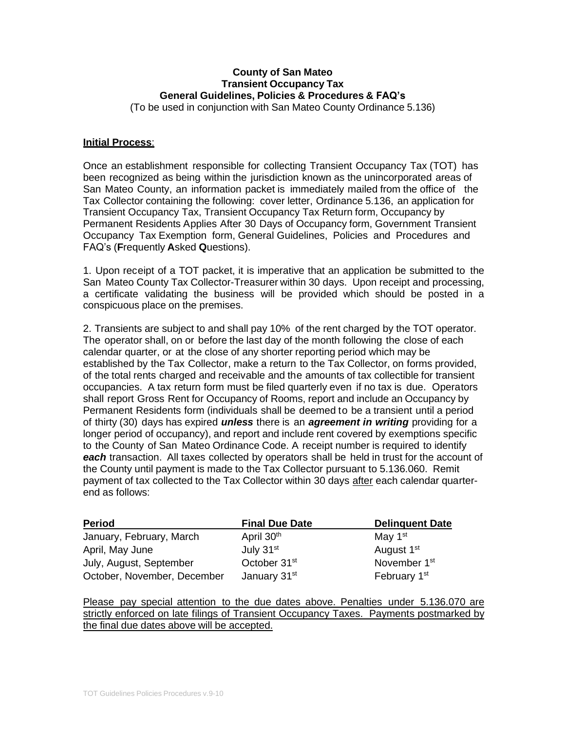# **County of San Mateo Transient Occupancy Tax General Guidelines, Policies & Procedures & FAQ's**

(To be used in conjunction with San Mateo County Ordinance 5.136)

### **Initial Process**:

Once an establishment responsible for collecting Transient Occupancy Tax (TOT) has been recognized as being within the jurisdiction known as the unincorporated areas of San Mateo County, an information packet is immediately mailed from the office of the Tax Collector containing the following: cover letter, Ordinance 5.136, an application for Transient Occupancy Tax, Transient Occupancy Tax Return form, Occupancy by Permanent Residents Applies After 30 Days of Occupancy form, Government Transient Occupancy Tax Exemption form, General Guidelines, Policies and Procedures and FAQ's (**F**requently **A**sked **Q**uestions).

1. Upon receipt of a TOT packet, it is imperative that an application be submitted to the San Mateo County Tax Collector-Treasurer within 30 days. Upon receipt and processing, a certificate validating the business will be provided which should be posted in a conspicuous place on the premises.

2. Transients are subject to and shall pay 10% of the rent charged by the TOT operator. The operator shall, on or before the last day of the month following the close of each calendar quarter, or at the close of any shorter reporting period which may be established by the Tax Collector, make a return to the Tax Collector, on forms provided, of the total rents charged and receivable and the amounts of tax collectible for transient occupancies. A tax return form must be filed quarterly even if no tax is due. Operators shall report Gross Rent for Occupancy of Rooms, report and include an Occupancy by Permanent Residents form (individuals shall be deemed to be a transient until a period of thirty (30) days has expired *unless* there is an *agreement in writing* providing for a longer period of occupancy), and report and include rent covered by exemptions specific to the County of San Mateo Ordinance Code. A receipt number is required to identify *each* transaction. All taxes collected by operators shall be held in trust for the account of the County until payment is made to the Tax Collector pursuant to 5.136.060. Remit payment of tax collected to the Tax Collector within 30 days after each calendar quarterend as follows:

| <b>Period</b>               | <b>Final Due Date</b>    | <b>Delinguent Date</b>   |
|-----------------------------|--------------------------|--------------------------|
| January, February, March    | April 30 <sup>th</sup>   | May 1 <sup>st</sup>      |
| April, May June             | July $31st$              | August 1 <sup>st</sup>   |
| July, August, September     | October 31 <sup>st</sup> | November 1 <sup>st</sup> |
| October, November, December | January 31 <sup>st</sup> | February 1 <sup>st</sup> |

Please pay special attention to the due dates above. Penalties under 5.136.070 are strictly enforced on late filings of Transient Occupancy Taxes. Payments postmarked by the final due dates above will be accepted.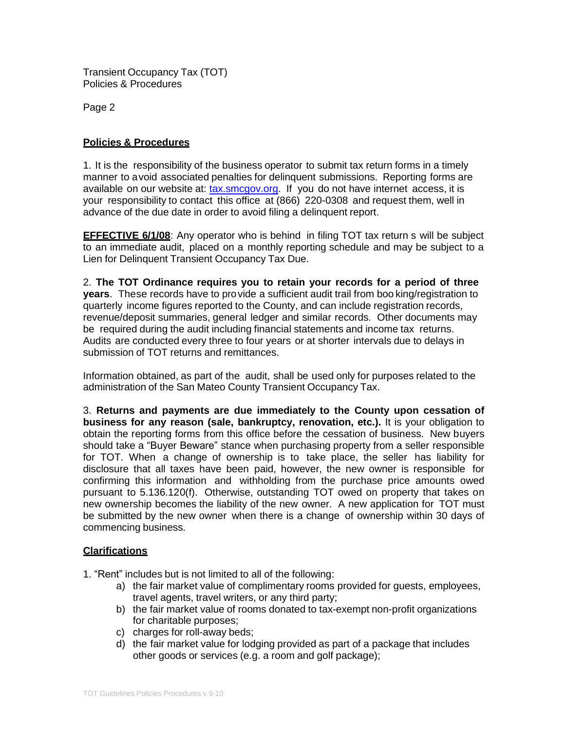Page 2

# **Policies & Procedures**

1. It is the responsibility of the business operator to submit tax return forms in a timely manner to avoid associated penalties for delinquent submissions. Reporting forms are available on our website at: [tax.smcgov.org.](http://www.sanmateocountytaxcollector.org/) If you do not have internet access, it is your responsibility to contact this office at (866) 220-0308 and request them, well in advance of the due date in order to avoid filing a delinquent report.

**EFFECTIVE 6/1/08**: Any operator who is behind in filing TOT tax return s will be subject to an immediate audit, placed on a monthly reporting schedule and may be subject to a Lien for Delinquent Transient Occupancy Tax Due.

2. **The TOT Ordinance requires you to retain your records for a period of three years**. These records have to provide a sufficient audit trail from boo king/registration to quarterly income figures reported to the County, and can include registration records, revenue/deposit summaries, general ledger and similar records. Other documents may be required during the audit including financial statements and income tax returns. Audits are conducted every three to four years or at shorter intervals due to delays in submission of TOT returns and remittances.

Information obtained, as part of the audit, shall be used only for purposes related to the administration of the San Mateo County Transient Occupancy Tax.

3. **Returns and payments are due immediately to the County upon cessation of business for any reason (sale, bankruptcy, renovation, etc.).** It is your obligation to obtain the reporting forms from this office before the cessation of business. New buyers should take a "Buyer Beware" stance when purchasing property from a seller responsible for TOT. When a change of ownership is to take place, the seller has liability for disclosure that all taxes have been paid, however, the new owner is responsible for confirming this information and withholding from the purchase price amounts owed pursuant to 5.136.120(f). Otherwise, outstanding TOT owed on property that takes on new ownership becomes the liability of the new owner. A new application for TOT must be submitted by the new owner when there is a change of ownership within 30 days of commencing business.

#### **Clarifications**

1. "Rent" includes but is not limited to all of the following:

- a) the fair market value of complimentary rooms provided for guests, employees, travel agents, travel writers, or any third party;
- b) the fair market value of rooms donated to tax-exempt non-profit organizations for charitable purposes;
- c) charges for roll-away beds;
- d) the fair market value for lodging provided as part of a package that includes other goods or services (e.g. a room and golf package);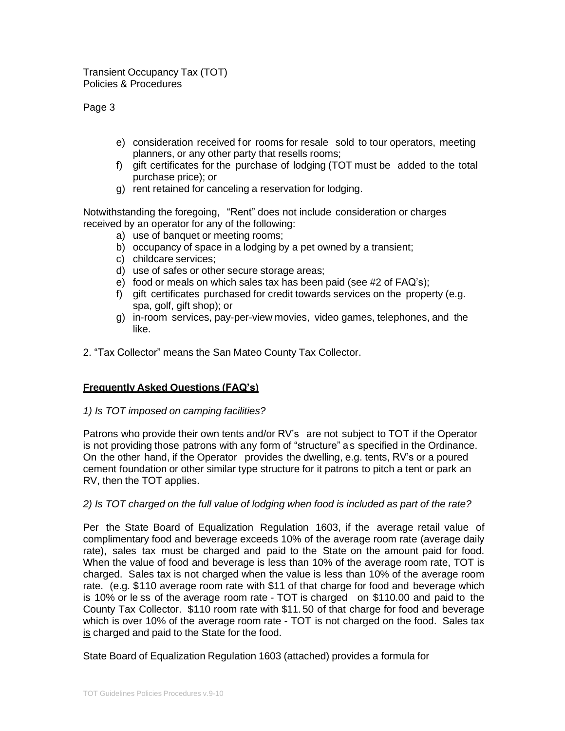Page 3

- e) consideration received for rooms for resale sold to tour operators, meeting planners, or any other party that resells rooms;
- f) gift certificates for the purchase of lodging (TOT must be added to the total purchase price); or
- g) rent retained for canceling a reservation for lodging.

Notwithstanding the foregoing, "Rent" does not include consideration or charges received by an operator for any of the following:

- a) use of banquet or meeting rooms;
- b) occupancy of space in a lodging by a pet owned by a transient;
- c) childcare services;
- d) use of safes or other secure storage areas;
- e) food or meals on which sales tax has been paid (see #2 of FAQ's);
- f) gift certificates purchased for credit towards services on the property (e.g. spa, golf, gift shop); or
- g) in-room services, pay-per-view movies, video games, telephones, and the like.
- 2. "Tax Collector" means the San Mateo County Tax Collector.

# **Frequently Asked Questions (FAQ's)**

#### *1) Is TOT imposed on camping facilities?*

Patrons who provide their own tents and/or RV's are not subject to TOT if the Operator is not providing those patrons with any form of "structure" as specified in the Ordinance. On the other hand, if the Operator provides the dwelling, e.g. tents, RV's or a poured cement foundation or other similar type structure for it patrons to pitch a tent or park an RV, then the TOT applies.

# *2) Is TOT charged on the full value of lodging when food is included as part of the rate?*

Per the State Board of Equalization Regulation 1603, if the average retail value of complimentary food and beverage exceeds 10% of the average room rate (average daily rate), sales tax must be charged and paid to the State on the amount paid for food. When the value of food and beverage is less than 10% of the average room rate, TOT is charged. Sales tax is not charged when the value is less than 10% of the average room rate. (e.g. \$110 average room rate with \$11 of that charge for food and beverage which is 10% or le ss of the average room rate - TOT is charged on \$110.00 and paid to the County Tax Collector. \$110 room rate with \$11. 50 of that charge for food and beverage which is over 10% of the average room rate - TOT is not charged on the food. Sales tax is charged and paid to the State for the food.

State Board of Equalization Regulation 1603 (attached) provides a formula for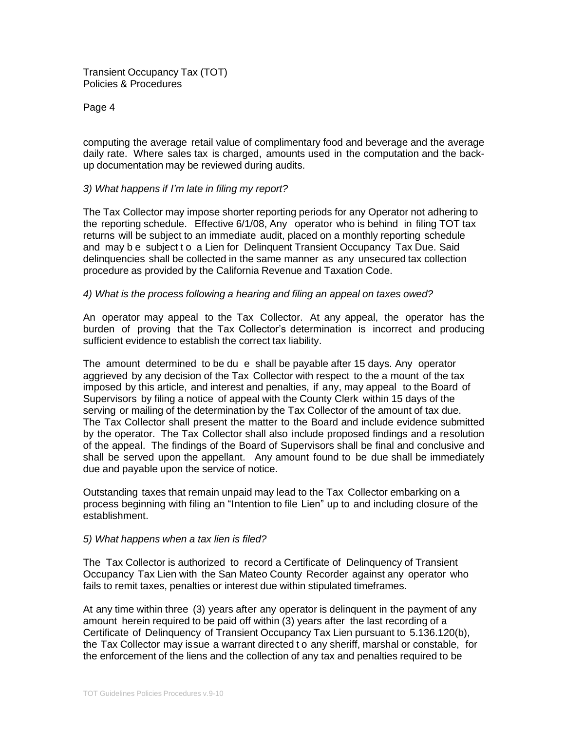Page 4

computing the average retail value of complimentary food and beverage and the average daily rate. Where sales tax is charged, amounts used in the computation and the backup documentation may be reviewed during audits.

### *3) What happens if I'm late in filing my report?*

The Tax Collector may impose shorter reporting periods for any Operator not adhering to the reporting schedule. Effective 6/1/08, Any operator who is behind in filing TOT tax returns will be subject to an immediate audit, placed on a monthly reporting schedule and may b e subject t o a Lien for Delinquent Transient Occupancy Tax Due. Said delinquencies shall be collected in the same manner as any unsecured tax collection procedure as provided by the California Revenue and Taxation Code.

### *4) What is the process following a hearing and filing an appeal on taxes owed?*

An operator may appeal to the Tax Collector. At any appeal, the operator has the burden of proving that the Tax Collector's determination is incorrect and producing sufficient evidence to establish the correct tax liability.

The amount determined to be du e shall be payable after 15 days. Any operator aggrieved by any decision of the Tax Collector with respect to the a mount of the tax imposed by this article, and interest and penalties, if any, may appeal to the Board of Supervisors by filing a notice of appeal with the County Clerk within 15 days of the serving or mailing of the determination by the Tax Collector of the amount of tax due. The Tax Collector shall present the matter to the Board and include evidence submitted by the operator. The Tax Collector shall also include proposed findings and a resolution of the appeal. The findings of the Board of Supervisors shall be final and conclusive and shall be served upon the appellant. Any amount found to be due shall be immediately due and payable upon the service of notice.

Outstanding taxes that remain unpaid may lead to the Tax Collector embarking on a process beginning with filing an "Intention to file Lien" up to and including closure of the establishment.

#### *5) What happens when a tax lien is filed?*

The Tax Collector is authorized to record a Certificate of Delinquency of Transient Occupancy Tax Lien with the San Mateo County Recorder against any operator who fails to remit taxes, penalties or interest due within stipulated timeframes.

At any time within three (3) years after any operator is delinquent in the payment of any amount herein required to be paid off within (3) years after the last recording of a Certificate of Delinquency of Transient Occupancy Tax Lien pursuant to 5.136.120(b), the Tax Collector may issue a warrant directed t o any sheriff, marshal or constable, for the enforcement of the liens and the collection of any tax and penalties required to be